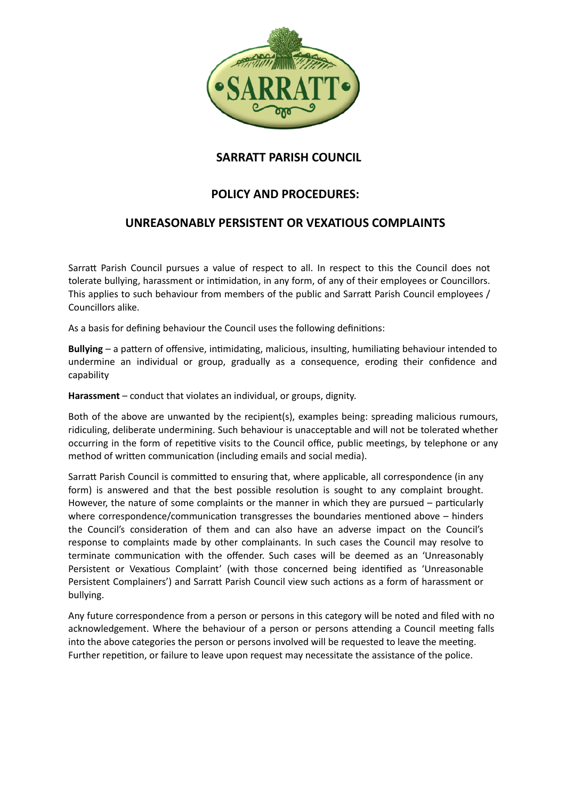

## **SARRATT PARISH COUNCIL SARRATT PARISH COUNCIL**

## **POLICY AND PROCEDURES:**

## **UNREASONABLY PERSISTENT OR VEXATIOUS COMPLAINTS**

Sarratt Parish Council pursues a value of respect to all. In respect to this the Council does not tolerate bullying, harassment or intimidation, in any form, of any of their employees or Councillors. This applies to such behaviour from members of the public and Sarratt Parish Council employees / Councillors alike.

As a basis for defining behaviour the Council uses the following definitions:

**Bullying** – a pattern of offensive, intimidating, malicious, insulting, humiliating behaviour intended to undermine an individual or group, gradually as a consequence, eroding their confidence and capability

**Harassment** – conduct that violates an individual, or groups, dignity.

Both of the above are unwanted by the recipient(s), examples being: spreading malicious rumours, ridiculing, deliberate undermining. Such behaviour is unacceptable and will not be tolerated whether occurring in the form of repetitive visits to the Council office, public meetings, by telephone or any method of written communication (including emails and social media).

Sarratt Parish Council is committed to ensuring that, where applicable, all correspondence (in any form) is answered and that the best possible resolution is sought to any complaint brought. However, the nature of some complaints or the manner in which they are pursued – particularly where correspondence/communication transgresses the boundaries mentioned above – hinders the Council's consideration of them and can also have an adverse impact on the Council's response to complaints made by other complainants. In such cases the Council may resolve to terminate communication with the offender. Such cases will be deemed as an 'Unreasonably Persistent or Vexatious Complaint' (with those concerned being identified as 'Unreasonable Persistent Complainers') and Sarratt Parish Council view such actions as a form of harassment or bullying.

Any future correspondence from a person or persons in this category will be noted and filed with no acknowledgement. Where the behaviour of a person or persons attending a Council meeting falls into the above categories the person or persons involved will be requested to leave the meeting. Further repetition, or failure to leave upon request may necessitate the assistance of the police.